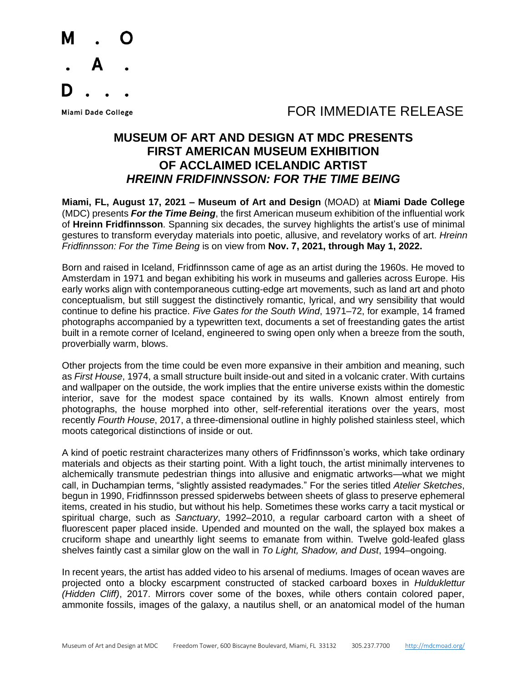

#### FOR IMMEDIATE RELEASE

#### **MUSEUM OF ART AND DESIGN AT MDC PRESENTS FIRST AMERICAN MUSEUM EXHIBITION OF ACCLAIMED ICELANDIC ARTIST** *HREINN FRIDFINNSSON: FOR THE TIME BEING*

**Miami, FL, August 17, 2021 – Museum of Art and Design** (MOAD) at **Miami Dade College** (MDC) presents *For the Time Being*, the first American museum exhibition of the influential work of **Hreinn Fridfinnsson**. Spanning six decades, the survey highlights the artist's use of minimal gestures to transform everyday materials into poetic, allusive, and revelatory works of art. *Hreinn Fridfinnsson: For the Time Being* is on view from **Nov. 7, 2021, through May 1, 2022.**

Born and raised in Iceland, Fridfinnsson came of age as an artist during the 1960s. He moved to Amsterdam in 1971 and began exhibiting his work in museums and galleries across Europe. His early works align with contemporaneous cutting-edge art movements, such as land art and photo conceptualism, but still suggest the distinctively romantic, lyrical, and wry sensibility that would continue to define his practice. *Five Gates for the South Wind*, 1971–72, for example, 14 framed photographs accompanied by a typewritten text, documents a set of freestanding gates the artist built in a remote corner of Iceland, engineered to swing open only when a breeze from the south, proverbially warm, blows.

Other projects from the time could be even more expansive in their ambition and meaning, such as *First House*, 1974, a small structure built inside-out and sited in a volcanic crater. With curtains and wallpaper on the outside, the work implies that the entire universe exists within the domestic interior, save for the modest space contained by its walls. Known almost entirely from photographs, the house morphed into other, self-referential iterations over the years, most recently *Fourth House*, 2017, a three-dimensional outline in highly polished stainless steel, which moots categorical distinctions of inside or out.

A kind of poetic restraint characterizes many others of Fridfinnsson's works, which take ordinary materials and objects as their starting point. With a light touch, the artist minimally intervenes to alchemically transmute pedestrian things into allusive and enigmatic artworks—what we might call, in Duchampian terms, "slightly assisted readymades." For the series titled *Atelier Sketches*, begun in 1990, Fridfinnsson pressed spiderwebs between sheets of glass to preserve ephemeral items, created in his studio, but without his help. Sometimes these works carry a tacit mystical or spiritual charge, such as *Sanctuary*, 1992–2010, a regular carboard carton with a sheet of fluorescent paper placed inside. Upended and mounted on the wall, the splayed box makes a cruciform shape and unearthly light seems to emanate from within. Twelve gold-leafed glass shelves faintly cast a similar glow on the wall in *To Light, Shadow, and Dust*, 1994–ongoing.

In recent years, the artist has added video to his arsenal of mediums. Images of ocean waves are projected onto a blocky escarpment constructed of stacked carboard boxes in *Hulduklettur (Hidden Cliff)*, 2017. Mirrors cover some of the boxes, while others contain colored paper, ammonite fossils, images of the galaxy, a nautilus shell, or an anatomical model of the human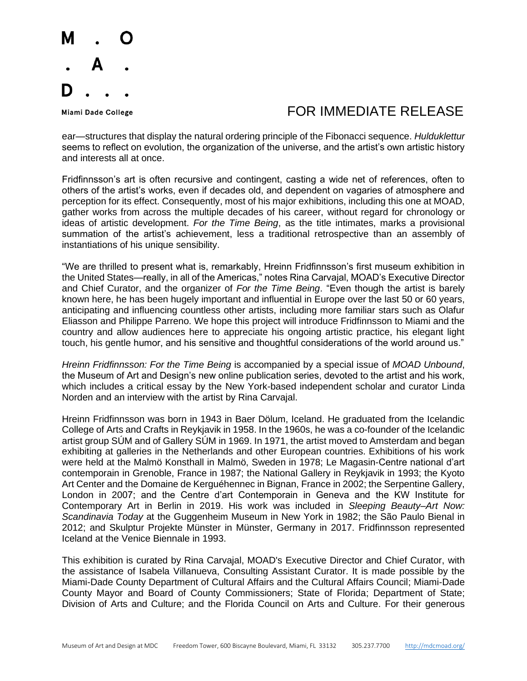

### FOR IMMEDIATE RELEASE

ear—structures that display the natural ordering principle of the Fibonacci sequence. *Hulduklettur* seems to reflect on evolution, the organization of the universe, and the artist's own artistic history and interests all at once.

Fridfinnsson's art is often recursive and contingent, casting a wide net of references, often to others of the artist's works, even if decades old, and dependent on vagaries of atmosphere and perception for its effect. Consequently, most of his major exhibitions, including this one at MOAD, gather works from across the multiple decades of his career, without regard for chronology or ideas of artistic development. *For the Time Being*, as the title intimates, marks a provisional summation of the artist's achievement, less a traditional retrospective than an assembly of instantiations of his unique sensibility.

"We are thrilled to present what is, remarkably, Hreinn Fridfinnsson's first museum exhibition in the United States—really, in all of the Americas," notes Rina Carvajal, MOAD's Executive Director and Chief Curator, and the organizer of *For the Time Being*. "Even though the artist is barely known here, he has been hugely important and influential in Europe over the last 50 or 60 years, anticipating and influencing countless other artists, including more familiar stars such as Olafur Eliasson and Philippe Parreno. We hope this project will introduce Fridfinnsson to Miami and the country and allow audiences here to appreciate his ongoing artistic practice, his elegant light touch, his gentle humor, and his sensitive and thoughtful considerations of the world around us."

*Hreinn Fridfinnsson: For the Time Being* is accompanied by a special issue of *MOAD Unbound*, the Museum of Art and Design's new online publication series, devoted to the artist and his work, which includes a critical essay by the New York-based independent scholar and curator Linda Norden and an interview with the artist by Rina Carvajal.

Hreinn Fridfinnsson was born in 1943 in Baer Dölum, Iceland. He graduated from the Icelandic College of Arts and Crafts in Reykjavik in 1958. In the 1960s, he was a co-founder of the Icelandic artist group SÚM and of Gallery SÚM in 1969. In 1971, the artist moved to Amsterdam and began exhibiting at galleries in the Netherlands and other European countries. Exhibitions of his work were held at the Malmö Konsthall in Malmö, Sweden in 1978; Le Magasin-Centre national d'art contemporain in Grenoble, France in 1987; the National Gallery in Reykjavik in 1993; the Kyoto Art Center and the Domaine de Kerguéhennec in Bignan, France in 2002; the Serpentine Gallery, London in 2007; and the Centre d'art Contemporain in Geneva and the KW Institute for Contemporary Art in Berlin in 2019. His work was included in *Sleeping Beauty–Art Now: Scandinavia Today* at the Guggenheim Museum in New York in 1982; the São Paulo Bienal in 2012; and Skulptur Projekte Münster in Münster, Germany in 2017. Fridfinnsson represented Iceland at the Venice Biennale in 1993.

This exhibition is curated by Rina Carvajal, MOAD's Executive Director and Chief Curator, with the assistance of Isabela Villanueva, Consulting Assistant Curator. It is made possible by the Miami-Dade County Department of Cultural Affairs and the Cultural Affairs Council; Miami-Dade County Mayor and Board of County Commissioners; State of Florida; Department of State; Division of Arts and Culture; and the Florida Council on Arts and Culture. For their generous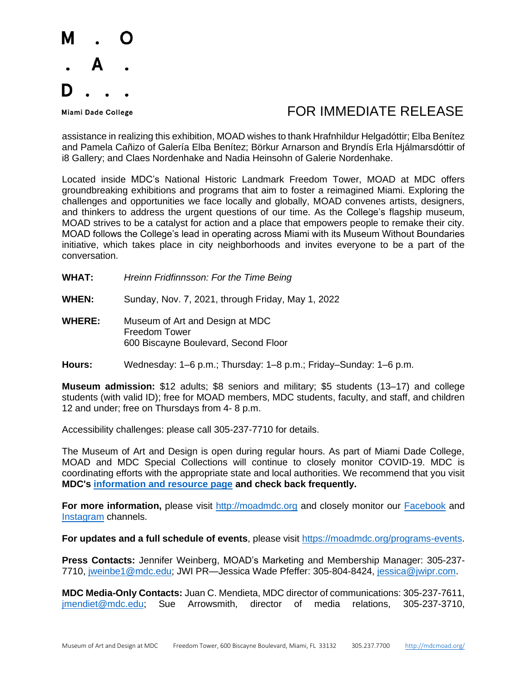

## FOR IMMEDIATE RELEASE

assistance in realizing this exhibition, MOAD wishes to thank Hrafnhildur Helgadóttir; Elba Benítez and Pamela Cañizo of Galería Elba Benítez; Börkur Arnarson and Bryndís Erla Hjálmarsdóttir of i8 Gallery; and Claes Nordenhake and Nadia Heinsohn of Galerie Nordenhake.

Located inside MDC's National Historic Landmark Freedom Tower, MOAD at MDC offers groundbreaking exhibitions and programs that aim to foster a reimagined Miami. Exploring the challenges and opportunities we face locally and globally, MOAD convenes artists, designers, and thinkers to address the urgent questions of our time. As the College's flagship museum, MOAD strives to be a catalyst for action and a place that empowers people to remake their city. MOAD follows the College's lead in operating across Miami with its Museum Without Boundaries initiative, which takes place in city neighborhoods and invites everyone to be a part of the conversation.

- **WHAT:** *Hreinn Fridfinnsson: For the Time Being*
- **WHEN:** Sunday, Nov. 7, 2021, through Friday, May 1, 2022
- **WHERE:** Museum of Art and Design at MDC Freedom Tower 600 Biscayne Boulevard, Second Floor
- **Hours:** Wednesday: 1–6 p.m.; Thursday: 1–8 p.m.; Friday–Sunday: 1–6 p.m.

**Museum admission:** \$12 adults; \$8 seniors and military; \$5 students (13–17) and college students (with valid ID); free for MOAD members, MDC students, faculty, and staff, and children 12 and under; free on Thursdays from 4- 8 p.m.

Accessibility challenges: please call 305-237-7710 for details.

The Museum of Art and Design is open during regular hours. As part of Miami Dade College, MOAD and MDC Special Collections will continue to closely monitor COVID-19. MDC is coordinating efforts with the appropriate state and local authorities. We recommend that you visit **MDC's [information and resource page](about:blank) and check back frequently.**

For more information, please visit [http://moadmdc.org](about:blank) and closely monitor our **Facebook** and [Instagram](about:blank) channels.

For updates and a full schedule of events, please visit [https://moadmdc.org/programs-events.](about:blank)

**Press Contacts:** Jennifer Weinberg, MOAD's Marketing and Membership Manager: 305-237- 7710, [jweinbe1@mdc.edu;](about:blank) JWI PR—Jessica Wade Pfeffer: 305-804-8424, [jessica@jwipr.com.](about:blank)

**MDC Media-Only Contacts:** Juan C. Mendieta, MDC director of communications: 305-237-7611, [jmendiet@mdc.edu;](about:blank) Sue Arrowsmith, director of media relations, 305-237-3710,